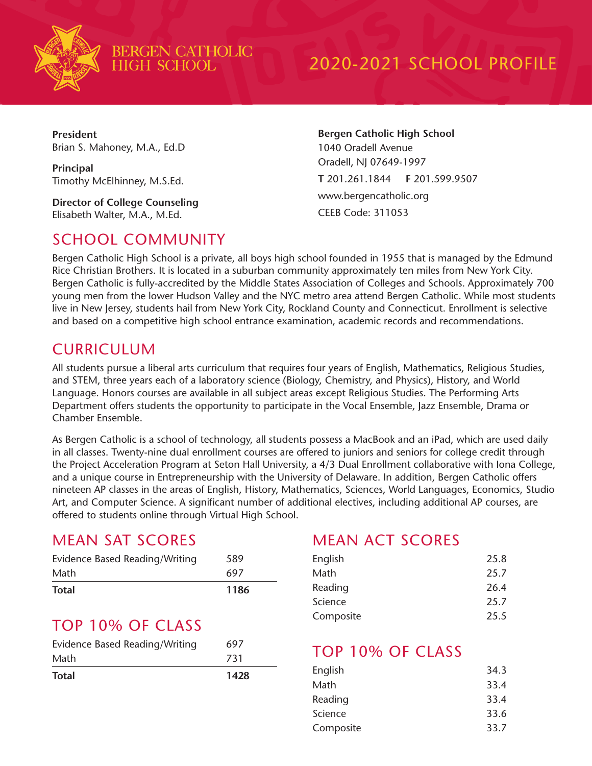

BERGEN CATHOLIC<br>HIGH SCHOOL

## 2020-2021 SCHOOL PROFILE

**President** Brian S. Mahoney, M.A., Ed.D

**Principal** Timothy McElhinney, M.S.Ed.

**Director of College Counseling** Elisabeth Walter, M.A., M.Ed.

#### SCHOOL COMMUNITY

**Bergen Catholic High School** 1040 Oradell Avenue Oradell, NJ 07649-1997 **T** 201.261.1844 **F** 201.599.9507 www.bergencatholic.org CEEB Code: 311053

Bergen Catholic High School is a private, all boys high school founded in 1955 that is managed by the Edmund Rice Christian Brothers. It is located in a suburban community approximately ten miles from New York City. Bergen Catholic is fully-accredited by the Middle States Association of Colleges and Schools. Approximately 700 young men from the lower Hudson Valley and the NYC metro area attend Bergen Catholic. While most students live in New Jersey, students hail from New York City, Rockland County and Connecticut. Enrollment is selective and based on a competitive high school entrance examination, academic records and recommendations.

#### CURRICULUM

All students pursue a liberal arts curriculum that requires four years of English, Mathematics, Religious Studies, and STEM, three years each of a laboratory science (Biology, Chemistry, and Physics), History, and World Language. Honors courses are available in all subject areas except Religious Studies. The Performing Arts Department offers students the opportunity to participate in the Vocal Ensemble, Jazz Ensemble, Drama or Chamber Ensemble.

As Bergen Catholic is a school of technology, all students possess a MacBook and an iPad, which are used daily in all classes. Twenty-nine dual enrollment courses are offered to juniors and seniors for college credit through the Project Acceleration Program at Seton Hall University, a 4/3 Dual Enrollment collaborative with Iona College, and a unique course in Entrepreneurship with the University of Delaware. In addition, Bergen Catholic offers nineteen AP classes in the areas of English, History, Mathematics, Sciences, World Languages, Economics, Studio Art, and Computer Science. A significant number of additional electives, including additional AP courses, are offered to students online through Virtual High School.

#### MEAN SAT SCORES

| Evidence Based Reading/Writing | 589  |
|--------------------------------|------|
| Math                           | 697  |
| <b>Total</b>                   | 1186 |

#### TOP 10% OF CLASS

| <b>Total</b>                   | 1428 |
|--------------------------------|------|
| Math                           | 731  |
| Evidence Based Reading/Writing | 697  |

#### MEAN ACT SCORES

| English   | 25.8 |
|-----------|------|
| Math      | 25.7 |
| Reading   | 26.4 |
| Science   | 25.7 |
| Composite | 25.5 |
|           |      |

#### TOP 10% OF CLASS

| English   | 34.3 |
|-----------|------|
| Math      | 33.4 |
| Reading   | 33.4 |
| Science   | 33.6 |
| Composite | 33.7 |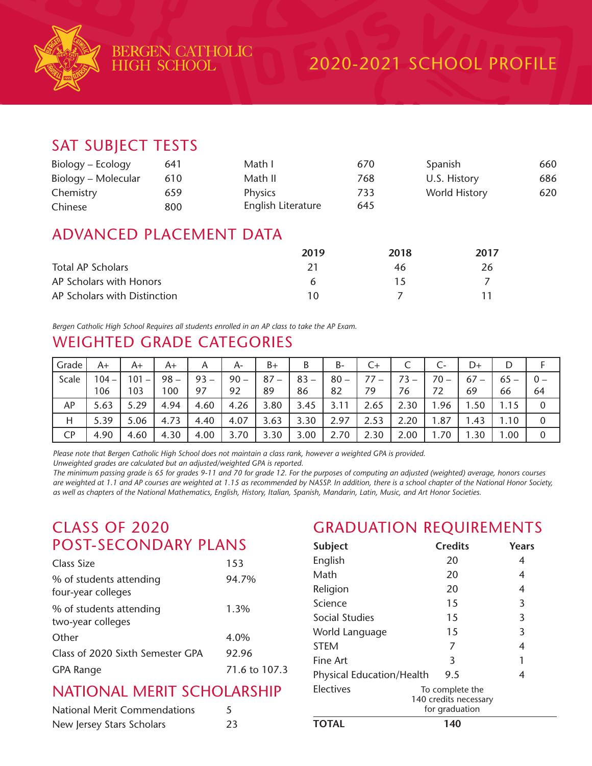

#### SAT SUBJECT TESTS

| Biology – Ecology   | 641 | Math I             | 670 | Spanish       | 660 |
|---------------------|-----|--------------------|-----|---------------|-----|
| Biology – Molecular | 610 | Math II            | 768 | U.S. History  | 686 |
| Chemistry           | 659 | <b>Physics</b>     | 733 | World History | 620 |
| Chinese             | 800 | English Literature | 645 |               |     |

#### ADVANCED PLACEMENT DATA

|                              | 2019 | 2018 | 2017 |
|------------------------------|------|------|------|
| Total AP Scholars            |      | 46   | 26   |
| AP Scholars with Honors      | h    |      |      |
| AP Scholars with Distinction | 10   |      |      |

*Bergen Catholic High School Requires all students enrolled in an AP class to take the AP Exam.*

#### WEIGHTED GRADE CATEGORIES

| Grade | A+             | A+                                     | A+            | A            | $A-$         | B+           | B            | B-           | C+   | ╰            | Ċ-     | D+                                   | D            |             |
|-------|----------------|----------------------------------------|---------------|--------------|--------------|--------------|--------------|--------------|------|--------------|--------|--------------------------------------|--------------|-------------|
| Scale | $104 -$<br>106 | 101<br>$\overline{\phantom{a}}$<br>103 | $98 -$<br>100 | $93 -$<br>97 | $90 -$<br>92 | $87 -$<br>89 | $83 -$<br>86 | $80 -$<br>82 | 79   | $73 -$<br>76 | $70 -$ | 67<br>$\overline{\phantom{0}}$<br>69 | $65 -$<br>66 | $0 -$<br>64 |
| AP    | 5.63           | 5.29                                   | 4.94          | 4.60         | 4.26         | 3.80         | 3.45         | 3.11         | 2.65 | 2.30         | .96    | .50                                  | 1.15         | 0           |
| Η     | 5.39           | 5.06                                   | 4.73          | 4.40         | 4.07         | 3.63         | 3.30         | 2.97         | 2.53 | 2.20         | .87    | l.43                                 | .10          | 0           |
| CP    | 4.90           | 4.60                                   | 4.30          | 4.00         | 3.70         | 3.30         | 3.00         | 2.70         | 2.30 | 2.00         | .70    | .30                                  | .00.         | 0           |

*Please note that Bergen Catholic High School does not maintain a class rank, however a weighted GPA is provided.*

*Unweighted grades are calculated but an adjusted/weighted GPA is reported.*

*The minimum passing grade is 65 for grades 9-11 and 70 for grade 12. For the purposes of computing an adjusted (weighted) average, honors courses are weighted at 1.1 and AP courses are weighted at 1.15 as recommended by NASSP. In addition, there is a school chapter of the National Honor Society, as well as chapters of the National Mathematics, English, History, Italian, Spanish, Mandarin, Latin, Music, and Art Honor Societies.*

#### CLASS OF 2020 POST-SECONDARY PLANS

| Class Size                                    | 153           |
|-----------------------------------------------|---------------|
| % of students attending<br>four-year colleges | 94.7%         |
| % of students attending<br>two-year colleges  | 1.3%          |
| Other                                         | 4.0%          |
| Class of 2020 Sixth Semester GPA              | 92.96         |
| <b>GPA Range</b>                              | 71.6 to 107.3 |
|                                               |               |

#### NATIONAL MERIT SCHOLARSHIP

| <b>National Merit Commendations</b> |    |
|-------------------------------------|----|
| New Jersey Stars Scholars           | 23 |

### GRADUATION REQUIREMENTS

| <b>Subject</b>                   | <b>Credits</b>                                             | Years |
|----------------------------------|------------------------------------------------------------|-------|
| English                          | 20                                                         | 4     |
| Math                             | 20                                                         | 4     |
| Religion                         | 20                                                         | 4     |
| Science                          | 15                                                         | 3     |
| Social Studies                   | 15                                                         | 3     |
| World Language                   | 15                                                         | 3     |
| <b>STEM</b>                      | 7                                                          | 4     |
| Fine Art                         | 3                                                          | 1     |
| <b>Physical Education/Health</b> | 9.5                                                        | 4     |
| Electives                        | To complete the<br>140 credits necessary<br>for graduation |       |
| TOTAL                            | 140                                                        |       |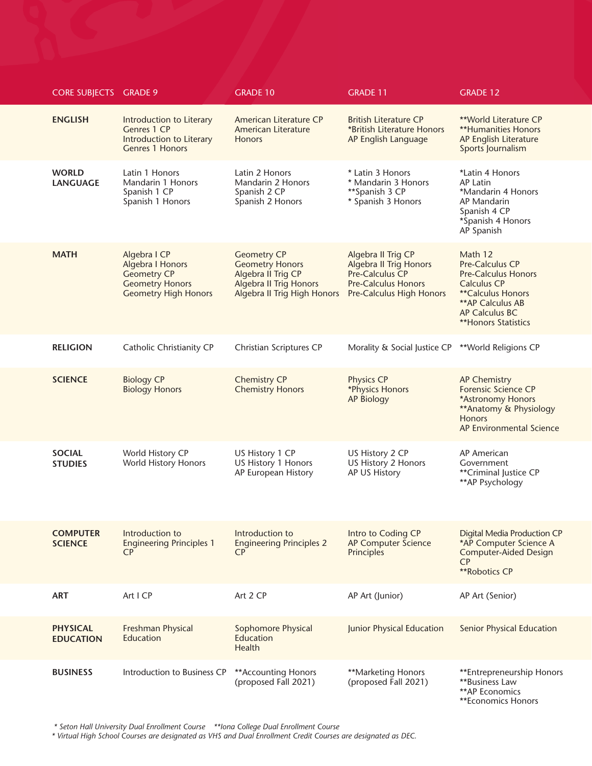| <b>CORE SUBJECTS GRADE 9</b>        |                                                                                                                        | <b>GRADE 10</b>                                                                                                                    | <b>GRADE 11</b>                                                                                                                  | <b>GRADE 12</b>                                                                                                                                                                        |
|-------------------------------------|------------------------------------------------------------------------------------------------------------------------|------------------------------------------------------------------------------------------------------------------------------------|----------------------------------------------------------------------------------------------------------------------------------|----------------------------------------------------------------------------------------------------------------------------------------------------------------------------------------|
| <b>ENGLISH</b>                      | Introduction to Literary<br>Genres 1 CP<br>Introduction to Literary<br><b>Genres 1 Honors</b>                          | American Literature CP<br>American Literature<br><b>Honors</b>                                                                     | <b>British Literature CP</b><br>*British Literature Honors<br>AP English Language                                                | **World Literature CP<br><b>**Humanities Honors</b><br>AP English Literature<br>Sports Journalism                                                                                      |
| <b>WORLD</b><br><b>LANGUAGE</b>     | Latin 1 Honors<br>Mandarin 1 Honors<br>Spanish 1 CP<br>Spanish 1 Honors                                                | Latin 2 Honors<br>Mandarin 2 Honors<br>Spanish 2 CP<br>Spanish 2 Honors                                                            | * Latin 3 Honors<br>* Mandarin 3 Honors<br>**Spanish 3 CP<br>* Spanish 3 Honors                                                  | *Latin 4 Honors<br><b>AP Latin</b><br>*Mandarin 4 Honors<br><b>AP Mandarin</b><br>Spanish 4 CP<br>*Spanish 4 Honors<br>AP Spanish                                                      |
| <b>MATH</b>                         | Algebra I CP<br><b>Algebra I Honors</b><br><b>Geometry CP</b><br><b>Geometry Honors</b><br><b>Geometry High Honors</b> | <b>Geometry CP</b><br><b>Geometry Honors</b><br>Algebra II Trig CP<br>Algebra II Trig Honors<br><b>Algebra II Trig High Honors</b> | Algebra II Trig CP<br><b>Algebra II Trig Honors</b><br>Pre-Calculus CP<br><b>Pre-Calculus Honors</b><br>Pre-Calculus High Honors | Math 12<br>Pre-Calculus CP<br><b>Pre-Calculus Honors</b><br><b>Calculus CP</b><br><b>**Calculus Honors</b><br>** AP Calculus AB<br><b>AP Calculus BC</b><br><b>**Honors Statistics</b> |
| <b>RELIGION</b>                     | Catholic Christianity CP                                                                                               | Christian Scriptures CP                                                                                                            | Morality & Social Justice CP                                                                                                     | **World Religions CP                                                                                                                                                                   |
| <b>SCIENCE</b>                      | <b>Biology CP</b><br><b>Biology Honors</b>                                                                             | <b>Chemistry CP</b><br><b>Chemistry Honors</b>                                                                                     | Physics CP<br>*Physics Honors<br>AP Biology                                                                                      | <b>AP Chemistry</b><br>Forensic Science CP<br>*Astronomy Honors<br>** Anatomy & Physiology<br><b>Honors</b><br>AP Environmental Science                                                |
| <b>SOCIAL</b><br><b>STUDIES</b>     | World History CP<br>World History Honors                                                                               | US History 1 CP<br>US History 1 Honors<br>AP European History                                                                      | US History 2 CP<br>US History 2 Honors<br>AP US History                                                                          | <b>AP American</b><br>Government<br>**Criminal Justice CP<br>** AP Psychology                                                                                                          |
| <b>COMPUTER</b><br><b>SCIENCE</b>   | Introduction to<br><b>Engineering Principles 1</b><br><b>CP</b>                                                        | Introduction to<br><b>Engineering Principles 2</b><br>CP                                                                           | Intro to Coding CP<br>AP Computer Science<br>Principles                                                                          | <b>Digital Media Production CP</b><br>*AP Computer Science A<br><b>Computer-Aided Design</b><br>CP<br>**Robotics CP                                                                    |
| <b>ART</b>                          | Art I CP                                                                                                               | Art 2 CP                                                                                                                           | AP Art (Junior)                                                                                                                  | AP Art (Senior)                                                                                                                                                                        |
| <b>PHYSICAL</b><br><b>EDUCATION</b> | Freshman Physical<br>Education                                                                                         | Sophomore Physical<br>Education<br><b>Health</b>                                                                                   | Junior Physical Education                                                                                                        | <b>Senior Physical Education</b>                                                                                                                                                       |
| <b>BUSINESS</b>                     | Introduction to Business CP                                                                                            | ** Accounting Honors<br>(proposed Fall 2021)                                                                                       | **Marketing Honors<br>(proposed Fall 2021)                                                                                       | **Entrepreneurship Honors<br><b>**Business Law</b><br>**AP Economics<br>**Economics Honors                                                                                             |

 *\* Seton Hall University Dual Enrollment Course \*\*Iona College Dual Enrollment Course*

*\* Virtual High School Courses are designated as VHS and Dual Enrollment Credit Courses are designated as DEC.*